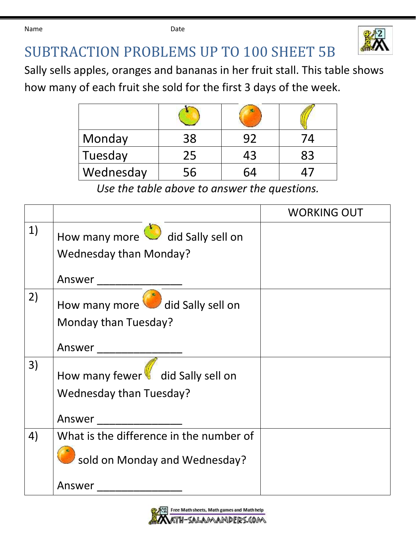Name **Date Date Date** 



## SUBTRACTION PROBLEMS UP TO 100 SHEET 5B

Sally sells apples, oranges and bananas in her fruit stall. This table shows

how many of each fruit she sold for the first 3 days of the week.

| Monday    | 38 |    |    |
|-----------|----|----|----|
| Tuesday   | 25 | 43 | 83 |
| Wednesday | 56 |    |    |

*Use the table above to answer the questions.*

|    |                                         | <b>WORKING OUT</b> |
|----|-----------------------------------------|--------------------|
| 1) | How many more did Sally sell on         |                    |
|    | <b>Wednesday than Monday?</b>           |                    |
|    | Answer                                  |                    |
| 2) | How many more did Sally sell on         |                    |
|    | Monday than Tuesday?                    |                    |
|    | Answer                                  |                    |
| 3) | How many fewer did Sally sell on        |                    |
|    | Wednesday than Tuesday?                 |                    |
|    | Answer                                  |                    |
| 4) | What is the difference in the number of |                    |
|    | sold on Monday and Wednesday?           |                    |
|    | Answer                                  |                    |